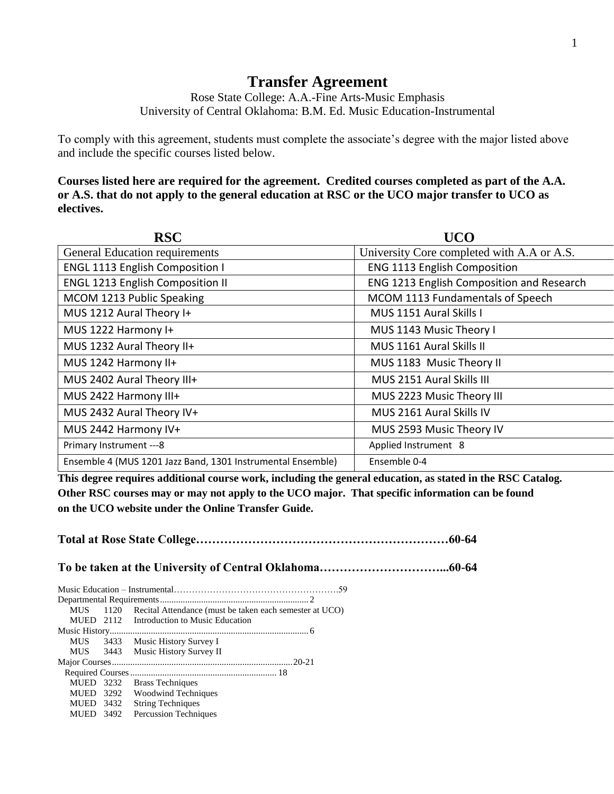## **Transfer Agreement**

Rose State College: A.A.-Fine Arts-Music Emphasis University of Central Oklahoma: B.M. Ed. Music Education-Instrumental

To comply with this agreement, students must complete the associate's degree with the major listed above and include the specific courses listed below.

**Courses listed here are required for the agreement. Credited courses completed as part of the A.A. or A.S. that do not apply to the general education at RSC or the UCO major transfer to UCO as electives.**

| <b>RSC</b>                                                  | <b>UCO</b>                                 |  |
|-------------------------------------------------------------|--------------------------------------------|--|
| <b>General Education requirements</b>                       | University Core completed with A.A or A.S. |  |
| <b>ENGL 1113 English Composition I</b>                      | <b>ENG 1113 English Composition</b>        |  |
| <b>ENGL 1213 English Composition II</b>                     | ENG 1213 English Composition and Research  |  |
| MCOM 1213 Public Speaking                                   | MCOM 1113 Fundamentals of Speech           |  |
| MUS 1212 Aural Theory I+                                    | MUS 1151 Aural Skills I                    |  |
| MUS 1222 Harmony I+                                         | MUS 1143 Music Theory I                    |  |
| MUS 1232 Aural Theory II+                                   | MUS 1161 Aural Skills II                   |  |
| MUS 1242 Harmony II+                                        | MUS 1183 Music Theory II                   |  |
| MUS 2402 Aural Theory III+                                  | MUS 2151 Aural Skills III                  |  |
| MUS 2422 Harmony III+                                       | MUS 2223 Music Theory III                  |  |
| MUS 2432 Aural Theory IV+                                   | MUS 2161 Aural Skills IV                   |  |
| MUS 2442 Harmony IV+                                        | MUS 2593 Music Theory IV                   |  |
| Primary Instrument --- 8                                    | Applied Instrument 8                       |  |
| Ensemble 4 (MUS 1201 Jazz Band, 1301 Instrumental Ensemble) | Ensemble 0-4                               |  |

**This degree requires additional course work, including the general education, as stated in the RSC Catalog. Other RSC courses may or may not apply to the UCO major. That specific information can be found on the UCO website under the Online Transfer Guide.**

**Total at Rose State College………………………………………………………60-64 To be taken at the University of Central Oklahoma…………………………...60-64** Music Education – Instrumental……………………………………………….59 Departmental Requirements................................................................. 2 MUS 1120 Recital Attendance (must be taken each semester at UCO) MUED 2112 Introduction to Music Education Music History....................................................................................... 6 MUS 3433 Music History Survey I MUS 3443 Music History Survey II Major Courses...............................................................................20-21 Required Courses................................................................ 18 MUED 3232 Brass Techniques MUED 3292 Woodwind Techniques MUED 3432 String Techniques MUED 3492 Percussion Techniques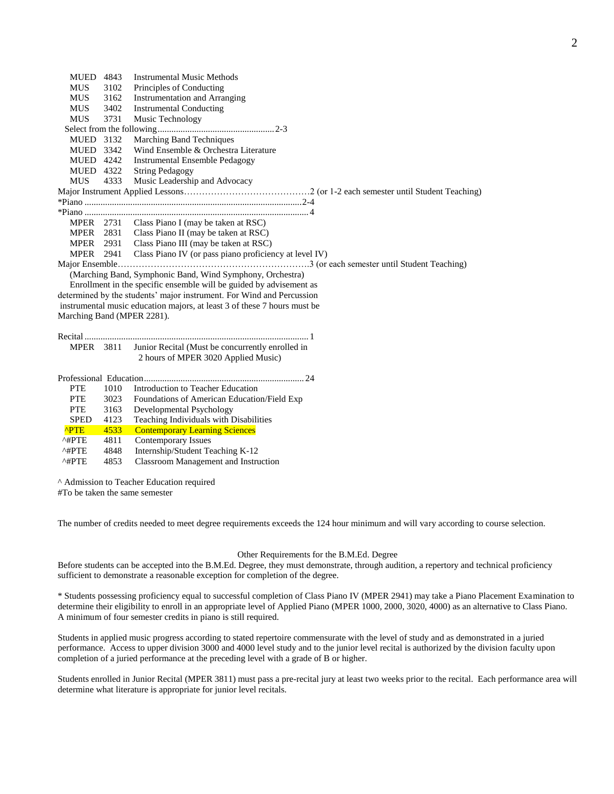| MUED 4843                  |      | <b>Instrumental Music Methods</b>                                                                                                                                                                                                                                                     |
|----------------------------|------|---------------------------------------------------------------------------------------------------------------------------------------------------------------------------------------------------------------------------------------------------------------------------------------|
| <b>MUS</b>                 | 3102 | Principles of Conducting                                                                                                                                                                                                                                                              |
| <b>MUS</b>                 | 3162 | <b>Instrumentation and Arranging</b>                                                                                                                                                                                                                                                  |
| <b>MUS</b>                 | 3402 | <b>Instrumental Conducting</b>                                                                                                                                                                                                                                                        |
| <b>MUS</b>                 | 3731 | Music Technology                                                                                                                                                                                                                                                                      |
|                            |      |                                                                                                                                                                                                                                                                                       |
| MUED 3132                  |      | Marching Band Techniques                                                                                                                                                                                                                                                              |
| MUED 3342                  |      | Wind Ensemble & Orchestra Literature                                                                                                                                                                                                                                                  |
| MUED 4242                  |      | <b>Instrumental Ensemble Pedagogy</b>                                                                                                                                                                                                                                                 |
| MUED 4322                  |      | <b>String Pedagogy</b>                                                                                                                                                                                                                                                                |
| <b>MUS</b>                 | 4333 | Music Leadership and Advocacy                                                                                                                                                                                                                                                         |
|                            |      |                                                                                                                                                                                                                                                                                       |
|                            |      |                                                                                                                                                                                                                                                                                       |
|                            |      |                                                                                                                                                                                                                                                                                       |
|                            |      | MPER 2731 Class Piano I (may be taken at RSC)                                                                                                                                                                                                                                         |
|                            |      | MPER 2831 Class Piano II (may be taken at RSC)                                                                                                                                                                                                                                        |
|                            |      | MPER 2931 Class Piano III (may be taken at RSC)                                                                                                                                                                                                                                       |
|                            |      | MPER 2941 Class Piano IV (or pass piano proficiency at level IV)                                                                                                                                                                                                                      |
| Marching Band (MPER 2281). |      | (Marching Band, Symphonic Band, Wind Symphony, Orchestra)<br>Enrollment in the specific ensemble will be guided by advisement as<br>determined by the students' major instrument. For Wind and Percussion<br>instrumental music education majors, at least 3 of these 7 hours must be |
|                            |      |                                                                                                                                                                                                                                                                                       |
| <b>MPER</b> 3811           |      | Junior Recital (Must be concurrently enrolled in                                                                                                                                                                                                                                      |
|                            |      | 2 hours of MPER 3020 Applied Music)                                                                                                                                                                                                                                                   |
|                            |      |                                                                                                                                                                                                                                                                                       |
|                            |      |                                                                                                                                                                                                                                                                                       |
| <b>PTE</b>                 | 1010 | Introduction to Teacher Education                                                                                                                                                                                                                                                     |
| <b>PTE</b>                 | 3023 | Foundations of American Education/Field Exp                                                                                                                                                                                                                                           |
| <b>PTE</b>                 | 3163 | Developmental Psychology                                                                                                                                                                                                                                                              |
| <b>SPED</b>                | 4123 | Teaching Individuals with Disabilities                                                                                                                                                                                                                                                |
| <b>^PTE</b>                | 4533 | <b>Contemporary Learning Sciences</b>                                                                                                                                                                                                                                                 |
| $^{\wedge}$ #PTE           | 4811 | <b>Contemporary Issues</b>                                                                                                                                                                                                                                                            |
| $^{\wedge\#PTE}$           | 4848 | Internship/Student Teaching K-12                                                                                                                                                                                                                                                      |
| $^{\wedge}$ #PTE           | 4853 | Classroom Management and Instruction                                                                                                                                                                                                                                                  |
|                            |      |                                                                                                                                                                                                                                                                                       |

^ Admission to Teacher Education required

#To be taken the same semester

The number of credits needed to meet degree requirements exceeds the 124 hour minimum and will vary according to course selection.

## Other Requirements for the B.M.Ed. Degree

Before students can be accepted into the B.M.Ed. Degree, they must demonstrate, through audition, a repertory and technical proficiency sufficient to demonstrate a reasonable exception for completion of the degree.

\* Students possessing proficiency equal to successful completion of Class Piano IV (MPER 2941) may take a Piano Placement Examination to determine their eligibility to enroll in an appropriate level of Applied Piano (MPER 1000, 2000, 3020, 4000) as an alternative to Class Piano. A minimum of four semester credits in piano is still required.

Students in applied music progress according to stated repertoire commensurate with the level of study and as demonstrated in a juried performance. Access to upper division 3000 and 4000 level study and to the junior level recital is authorized by the division faculty upon completion of a juried performance at the preceding level with a grade of B or higher.

Students enrolled in Junior Recital (MPER 3811) must pass a pre-recital jury at least two weeks prior to the recital. Each performance area will determine what literature is appropriate for junior level recitals.